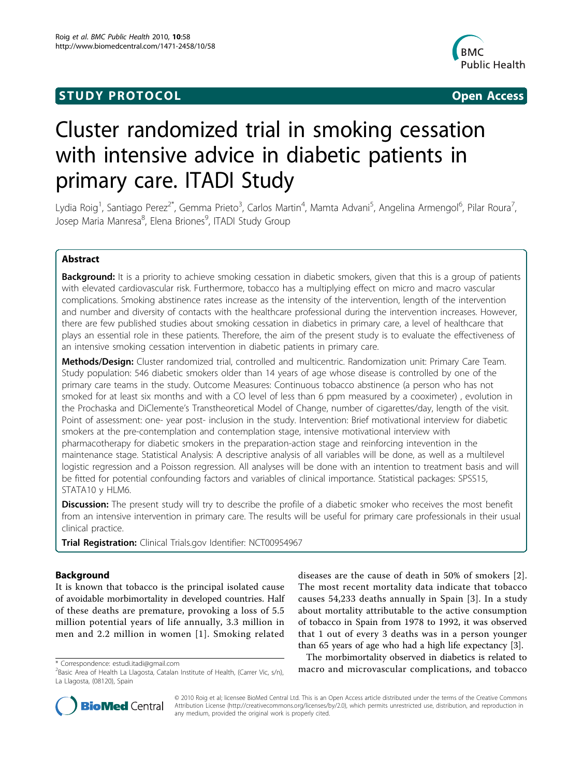# **STUDY PROTOCOL CONSUMING ACCESS**



# Cluster randomized trial in smoking cessation with intensive advice in diabetic patients in primary care. ITADI Study

Lydia Roig<sup>1</sup>, Santiago Perez<sup>2\*</sup>, Gemma Prieto<sup>3</sup>, Carlos Martin<sup>4</sup>, Mamta Advani<sup>5</sup>, Angelina Armengol<sup>6</sup>, Pilar Roura<sup>7</sup> , Josep Maria Manresa<sup>8</sup>, Elena Briones<sup>9</sup>, ITADI Study Group

# Abstract

**Background:** It is a priority to achieve smoking cessation in diabetic smokers, given that this is a group of patients with elevated cardiovascular risk. Furthermore, tobacco has a multiplying effect on micro and macro vascular complications. Smoking abstinence rates increase as the intensity of the intervention, length of the intervention and number and diversity of contacts with the healthcare professional during the intervention increases. However, there are few published studies about smoking cessation in diabetics in primary care, a level of healthcare that plays an essential role in these patients. Therefore, the aim of the present study is to evaluate the effectiveness of an intensive smoking cessation intervention in diabetic patients in primary care.

Methods/Design: Cluster randomized trial, controlled and multicentric. Randomization unit: Primary Care Team. Study population: 546 diabetic smokers older than 14 years of age whose disease is controlled by one of the primary care teams in the study. Outcome Measures: Continuous tobacco abstinence (a person who has not smoked for at least six months and with a CO level of less than 6 ppm measured by a cooximeter) , evolution in the Prochaska and DiClemente's Transtheoretical Model of Change, number of cigarettes/day, length of the visit. Point of assessment: one- year post- inclusion in the study. Intervention: Brief motivational interview for diabetic smokers at the pre-contemplation and contemplation stage, intensive motivational interview with pharmacotherapy for diabetic smokers in the preparation-action stage and reinforcing intevention in the maintenance stage. Statistical Analysis: A descriptive analysis of all variables will be done, as well as a multilevel logistic regression and a Poisson regression. All analyses will be done with an intention to treatment basis and will be fitted for potential confounding factors and variables of clinical importance. Statistical packages: SPSS15, STATA10 y HLM6.

**Discussion:** The present study will try to describe the profile of a diabetic smoker who receives the most benefit from an intensive intervention in primary care. The results will be useful for primary care professionals in their usual clinical practice.

**Trial Registration:** Clinical Trials.gov Identifier: NCT00954967

# Background

It is known that tobacco is the principal isolated cause of avoidable morbimortality in developed countries. Half of these deaths are premature, provoking a loss of 5.5 million potential years of life annually, 3.3 million in men and 2.2 million in women [[1](#page-7-0)]. Smoking related

diseases are the cause of death in 50% of smokers [[2](#page-7-0)]. The most recent mortality data indicate that tobacco causes 54,233 deaths annually in Spain [[3\]](#page-7-0). In a study about mortality attributable to the active consumption of tobacco in Spain from 1978 to 1992, it was observed that 1 out of every 3 deaths was in a person younger than 65 years of age who had a high life expectancy [[3\]](#page-7-0).

The morbimortality observed in diabetics is related to \* Correspondence: [estudi.itadi@gmail.com](mailto:estudi.itadi@gmail.com)<br><sup>2</sup>Basic Area of Health La Llagosta Catalan Institute of Health (Carrer Vic s/n) **macro and microvascular complications, and tobacco** 



© 2010 Roig et al; licensee BioMed Central Ltd. This is an Open Access article distributed under the terms of the Creative Commons Attribution License [\(http://creativecommons.org/licenses/by/2.0](http://creativecommons.org/licenses/by/2.0)), which permits unrestricted use, distribution, and reproduction in any medium, provided the original work is properly cited.

<sup>&</sup>lt;sup>2</sup> Basic Area of Health La Llagosta, Catalan Institute of Health, (Carrer Vic, s/n), La Llagosta, (08120), Spain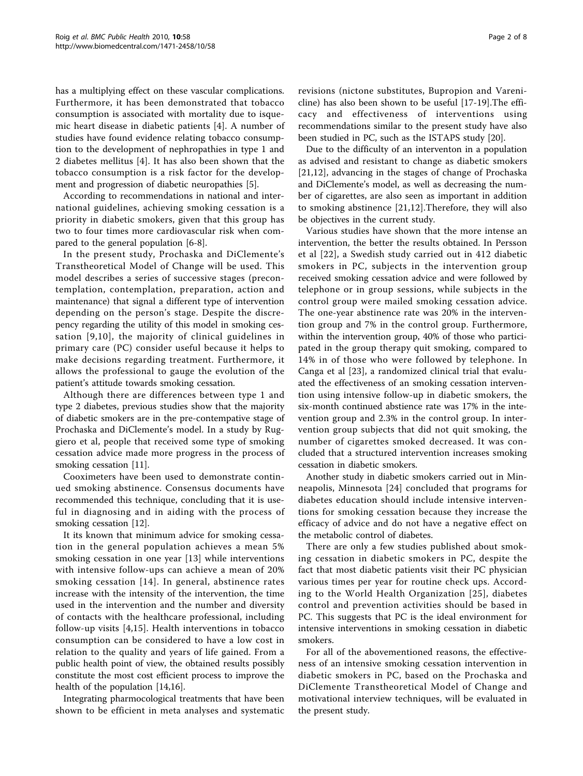has a multiplying effect on these vascular complications. Furthermore, it has been demonstrated that tobacco consumption is associated with mortality due to isquemic heart disease in diabetic patients [[4\]](#page-7-0). A number of studies have found evidence relating tobacco consumption to the development of nephropathies in type 1 and 2 diabetes mellitus [[4\]](#page-7-0). It has also been shown that the tobacco consumption is a risk factor for the development and progression of diabetic neuropathies [[5](#page-7-0)].

According to recommendations in national and international guidelines, achieving smoking cessation is a priority in diabetic smokers, given that this group has two to four times more cardiovascular risk when compared to the general population [\[6](#page-7-0)-[8](#page-7-0)].

In the present study, Prochaska and DiClemente's Transtheoretical Model of Change will be used. This model describes a series of successive stages (precontemplation, contemplation, preparation, action and maintenance) that signal a different type of intervention depending on the person's stage. Despite the discrepency regarding the utility of this model in smoking cessation [[9](#page-7-0),[10\]](#page-7-0), the majority of clinical guidelines in primary care (PC) consider useful because it helps to make decisions regarding treatment. Furthermore, it allows the professional to gauge the evolution of the patient's attitude towards smoking cessation.

Although there are differences between type 1 and type 2 diabetes, previous studies show that the majority of diabetic smokers are in the pre-contempative stage of Prochaska and DiClemente's model. In a study by Ruggiero et al, people that received some type of smoking cessation advice made more progress in the process of smoking cessation [[11](#page-7-0)].

Cooximeters have been used to demonstrate continued smoking abstinence. Consensus documents have recommended this technique, concluding that it is useful in diagnosing and in aiding with the process of smoking cessation [[12](#page-7-0)].

It its known that minimum advice for smoking cessation in the general population achieves a mean 5% smoking cessation in one year [\[13\]](#page-7-0) while interventions with intensive follow-ups can achieve a mean of 20% smoking cessation [[14\]](#page-7-0). In general, abstinence rates increase with the intensity of the intervention, the time used in the intervention and the number and diversity of contacts with the healthcare professional, including follow-up visits [[4,15](#page-7-0)]. Health interventions in tobacco consumption can be considered to have a low cost in relation to the quality and years of life gained. From a public health point of view, the obtained results possibly constitute the most cost efficient process to improve the health of the population [\[14,16](#page-7-0)].

Integrating pharmocological treatments that have been shown to be efficient in meta analyses and systematic revisions (nictone substitutes, Bupropion and Varenicline) has also been shown to be useful [\[17-19](#page-7-0)].The efficacy and effectiveness of interventions using recommendations similar to the present study have also been studied in PC, such as the ISTAPS study [[20](#page-7-0)].

Due to the difficulty of an interventon in a population as advised and resistant to change as diabetic smokers [[21,12](#page-7-0)], advancing in the stages of change of Prochaska and DiClemente's model, as well as decreasing the number of cigarettes, are also seen as important in addition to smoking abstinence [[21,12\]](#page-7-0).Therefore, they will also be objectives in the current study.

Various studies have shown that the more intense an intervention, the better the results obtained. In Persson et al [[22\]](#page-7-0), a Swedish study carried out in 412 diabetic smokers in PC, subjects in the intervention group received smoking cessation advice and were followed by telephone or in group sessions, while subjects in the control group were mailed smoking cessation advice. The one-year abstinence rate was 20% in the intervention group and 7% in the control group. Furthermore, within the intervention group, 40% of those who participated in the group therapy quit smoking, compared to 14% in of those who were followed by telephone. In Canga et al [\[23\]](#page-7-0), a randomized clinical trial that evaluated the effectiveness of an smoking cessation intervention using intensive follow-up in diabetic smokers, the six-month continued abstience rate was 17% in the intevention group and 2.3% in the control group. In intervention group subjects that did not quit smoking, the number of cigarettes smoked decreased. It was concluded that a structured intervention increases smoking cessation in diabetic smokers.

Another study in diabetic smokers carried out in Minneapolis, Minnesota [[24\]](#page-7-0) concluded that programs for diabetes education should include intensive interventions for smoking cessation because they increase the efficacy of advice and do not have a negative effect on the metabolic control of diabetes.

There are only a few studies published about smoking cessation in diabetic smokers in PC, despite the fact that most diabetic patients visit their PC physician various times per year for routine check ups. According to the World Health Organization [[25](#page-7-0)], diabetes control and prevention activities should be based in PC. This suggests that PC is the ideal environment for intensive interventions in smoking cessation in diabetic smokers.

For all of the abovementioned reasons, the effectiveness of an intensive smoking cessation intervention in diabetic smokers in PC, based on the Prochaska and DiClemente Transtheoretical Model of Change and motivational interview techniques, will be evaluated in the present study.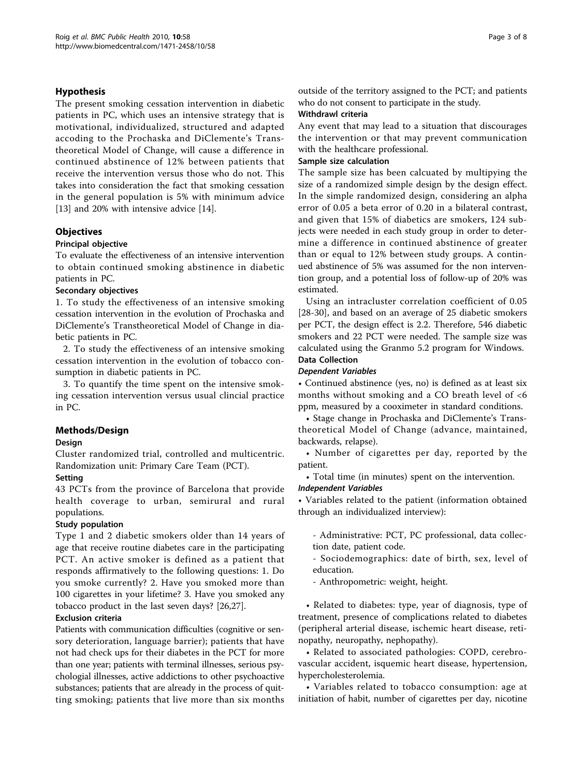# Hypothesis

The present smoking cessation intervention in diabetic patients in PC, which uses an intensive strategy that is motivational, individualized, structured and adapted accoding to the Prochaska and DiClemente's Transtheoretical Model of Change, will cause a difference in continued abstinence of 12% between patients that receive the intervention versus those who do not. This takes into consideration the fact that smoking cessation in the general population is 5% with minimum advice [[13\]](#page-7-0) and 20% with intensive advice [\[14\]](#page-7-0).

# **Objectives**

## Principal objective

To evaluate the effectiveness of an intensive intervention to obtain continued smoking abstinence in diabetic patients in PC.

## Secondary objectives

1. To study the effectiveness of an intensive smoking cessation intervention in the evolution of Prochaska and DiClemente's Transtheoretical Model of Change in diabetic patients in PC.

2. To study the effectiveness of an intensive smoking cessation intervention in the evolution of tobacco consumption in diabetic patients in PC.

3. To quantify the time spent on the intensive smoking cessation intervention versus usual clincial practice in PC.

# Methods/Design

# **Design**

Cluster randomized trial, controlled and multicentric. Randomization unit: Primary Care Team (PCT).

# Setting

43 PCTs from the province of Barcelona that provide health coverage to urban, semirural and rural populations.

# Study population

Type 1 and 2 diabetic smokers older than 14 years of age that receive routine diabetes care in the participating PCT. An active smoker is defined as a patient that responds affirmatively to the following questions: 1. Do you smoke currently? 2. Have you smoked more than 100 cigarettes in your lifetime? 3. Have you smoked any tobacco product in the last seven days? [\[26,27](#page-7-0)].

# Exclusion criteria

Patients with communication difficulties (cognitive or sensory deterioration, language barrier); patients that have not had check ups for their diabetes in the PCT for more than one year; patients with terminal illnesses, serious psychologial illnesses, active addictions to other psychoactive substances; patients that are already in the process of quitting smoking; patients that live more than six months outside of the territory assigned to the PCT; and patients who do not consent to participate in the study.

# Withdrawl criteria

Any event that may lead to a situation that discourages the intervention or that may prevent communication with the healthcare professional.

## Sample size calculation

The sample size has been calcuated by multipying the size of a randomized simple design by the design effect. In the simple randomized design, considering an alpha error of 0.05 a beta error of 0.20 in a bilateral contrast, and given that 15% of diabetics are smokers, 124 subjects were needed in each study group in order to determine a difference in continued abstinence of greater than or equal to 12% between study groups. A continued abstinence of 5% was assumed for the non intervention group, and a potential loss of follow-up of 20% was estimated.

Using an intracluster correlation coefficient of 0.05 [[28-30](#page-7-0)], and based on an average of 25 diabetic smokers per PCT, the design effect is 2.2. Therefore, 546 diabetic smokers and 22 PCT were needed. The sample size was calculated using the Granmo 5.2 program for Windows. Data Collection

# Dependent Variables

• Continued abstinence (yes, no) is defined as at least six months without smoking and a CO breath level of <6 ppm, measured by a cooximeter in standard conditions.

• Stage change in Prochaska and DiClemente's Transtheoretical Model of Change (advance, maintained, backwards, relapse).

• Number of cigarettes per day, reported by the patient.

• Total time (in minutes) spent on the intervention.

## Independent Variables

• Variables related to the patient (information obtained through an individualized interview):

- Administrative: PCT, PC professional, data collection date, patient code.

- Sociodemographics: date of birth, sex, level of education.

- Anthropometric: weight, height.

• Related to diabetes: type, year of diagnosis, type of treatment, presence of complications related to diabetes (peripheral arterial disease, ischemic heart disease, retinopathy, neuropathy, nephopathy).

• Related to associated pathologies: COPD, cerebrovascular accident, isquemic heart disease, hypertension, hypercholesterolemia.

• Variables related to tobacco consumption: age at initiation of habit, number of cigarettes per day, nicotine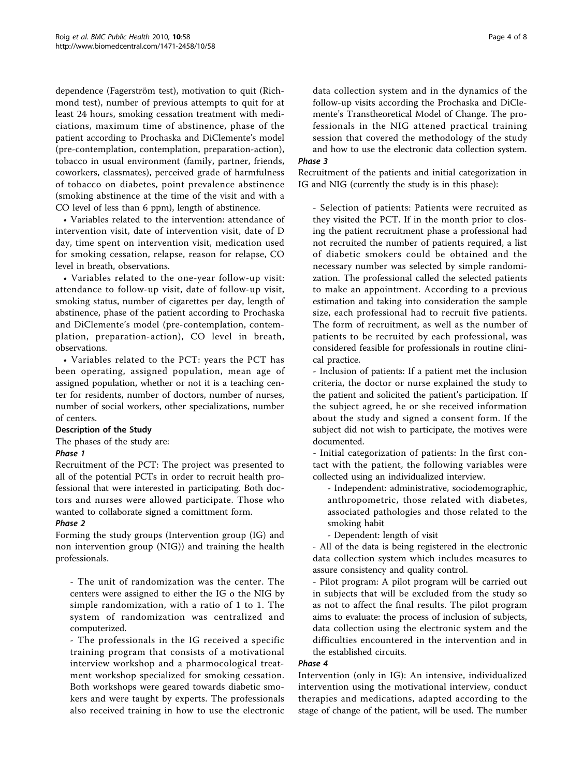dependence (Fagerström test), motivation to quit (Richmond test), number of previous attempts to quit for at least 24 hours, smoking cessation treatment with mediciations, maximum time of abstinence, phase of the patient according to Prochaska and DiClemente's model (pre-contemplation, contemplation, preparation-action), tobacco in usual environment (family, partner, friends, coworkers, classmates), perceived grade of harmfulness of tobacco on diabetes, point prevalence abstinence (smoking abstinence at the time of the visit and with a CO level of less than 6 ppm), length of abstinence.

• Variables related to the intervention: attendance of intervention visit, date of intervention visit, date of D day, time spent on intervention visit, medication used for smoking cessation, relapse, reason for relapse, CO level in breath, observations.

• Variables related to the one-year follow-up visit: attendance to follow-up visit, date of follow-up visit, smoking status, number of cigarettes per day, length of abstinence, phase of the patient according to Prochaska and DiClemente's model (pre-contemplation, contemplation, preparation-action), CO level in breath, observations.

• Variables related to the PCT: years the PCT has been operating, assigned population, mean age of assigned population, whether or not it is a teaching center for residents, number of doctors, number of nurses, number of social workers, other specializations, number of centers.

## Description of the Study

The phases of the study are:

#### Phase 1

Recruitment of the PCT: The project was presented to all of the potential PCTs in order to recruit health professional that were interested in participating. Both doctors and nurses were allowed participate. Those who wanted to collaborate signed a comittment form.

## Phase 2

Forming the study groups (Intervention group (IG) and non intervention group (NIG)) and training the health professionals.

- The unit of randomization was the center. The centers were assigned to either the IG o the NIG by simple randomization, with a ratio of 1 to 1. The system of randomization was centralized and computerized.

- The professionals in the IG received a specific training program that consists of a motivational interview workshop and a pharmocological treatment workshop specialized for smoking cessation. Both workshops were geared towards diabetic smokers and were taught by experts. The professionals also received training in how to use the electronic data collection system and in the dynamics of the follow-up visits according the Prochaska and DiClemente's Transtheoretical Model of Change. The professionals in the NIG attened practical training session that covered the methodology of the study and how to use the electronic data collection system.

## Phase 3

Recruitment of the patients and initial categorization in IG and NIG (currently the study is in this phase):

- Selection of patients: Patients were recruited as they visited the PCT. If in the month prior to closing the patient recruitment phase a professional had not recruited the number of patients required, a list of diabetic smokers could be obtained and the necessary number was selected by simple randomization. The professional called the selected patients to make an appointment. According to a previous estimation and taking into consideration the sample size, each professional had to recruit five patients. The form of recruitment, as well as the number of patients to be recruited by each professional, was considered feasible for professionals in routine clinical practice.

- Inclusion of patients: If a patient met the inclusion criteria, the doctor or nurse explained the study to the patient and solicited the patient's participation. If the subject agreed, he or she received information about the study and signed a consent form. If the subject did not wish to participate, the motives were documented.

- Initial categorization of patients: In the first contact with the patient, the following variables were collected using an individualized interview.

- Independent: administrative, sociodemographic, anthropometric, those related with diabetes, associated pathologies and those related to the smoking habit

- Dependent: length of visit

- All of the data is being registered in the electronic data collection system which includes measures to assure consistency and quality control.

- Pilot program: A pilot program will be carried out in subjects that will be excluded from the study so as not to affect the final results. The pilot program aims to evaluate: the process of inclusion of subjects, data collection using the electronic system and the difficulties encountered in the intervention and in the established circuits.

#### Phase 4

Intervention (only in IG): An intensive, individualized intervention using the motivational interview, conduct therapies and medications, adapted according to the stage of change of the patient, will be used. The number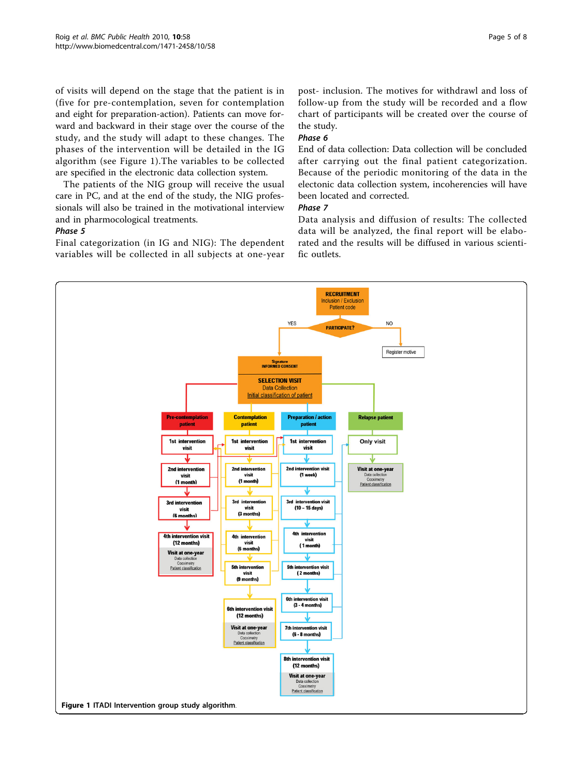of visits will depend on the stage that the patient is in (five for pre-contemplation, seven for contemplation and eight for preparation-action). Patients can move forward and backward in their stage over the course of the study, and the study will adapt to these changes. The phases of the intervention will be detailed in the IG algorithm (see Figure 1).The variables to be collected are specified in the electronic data collection system.

The patients of the NIG group will receive the usual care in PC, and at the end of the study, the NIG professionals will also be trained in the motivational interview and in pharmocological treatments.

## Phase 5

Final categorization (in IG and NIG): The dependent variables will be collected in all subjects at one-year

post- inclusion. The motives for withdrawl and loss of follow-up from the study will be recorded and a flow chart of participants will be created over the course of the study.

## Phase 6

End of data collection: Data collection will be concluded after carrying out the final patient categorization. Because of the periodic monitoring of the data in the electonic data collection system, incoherencies will have been located and corrected.

## Phase 7

Data analysis and diffusion of results: The collected data will be analyzed, the final report will be elaborated and the results will be diffused in various scientific outlets.

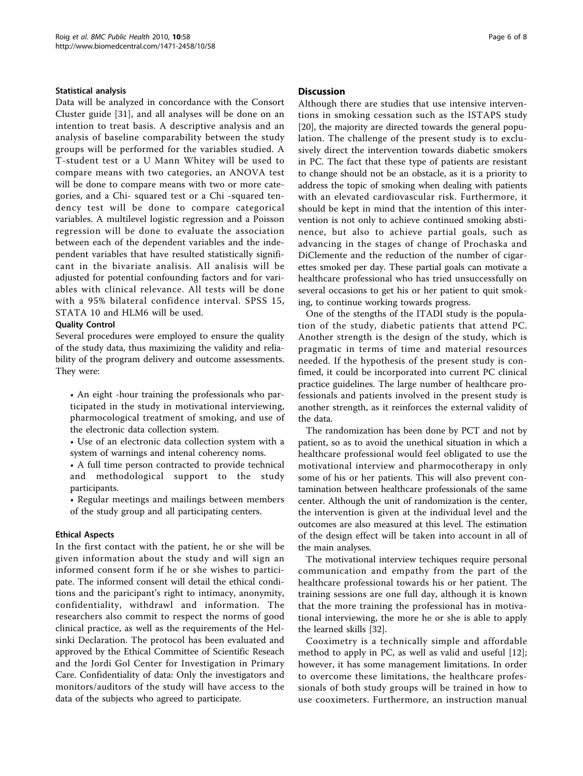#### Statistical analysis

Data will be analyzed in concordance with the Consort Cluster guide [[31\]](#page-7-0), and all analyses will be done on an intention to treat basis. A descriptive analysis and an analysis of baseline comparability between the study groups will be performed for the variables studied. A T-student test or a U Mann Whitey will be used to compare means with two categories, an ANOVA test will be done to compare means with two or more categories, and a Chi- squared test or a Chi -squared tendency test will be done to compare categorical variables. A multilevel logistic regression and a Poisson regression will be done to evaluate the association between each of the dependent variables and the independent variables that have resulted statistically significant in the bivariate analisis. All analisis will be adjusted for potential confounding factors and for variables with clinical relevance. All tests will be done with a 95% bilateral confidence interval. SPSS 15, STATA 10 and HLM6 will be used.

## Quality Control

Several procedures were employed to ensure the quality of the study data, thus maximizing the validity and reliability of the program delivery and outcome assessments. They were:

• An eight -hour training the professionals who participated in the study in motivational interviewing, pharmocological treatment of smoking, and use of the electronic data collection system.

• Use of an electronic data collection system with a system of warnings and intenal coherency noms.

• A full time person contracted to provide technical and methodological support to the study participants.

• Regular meetings and mailings between members of the study group and all participating centers.

#### Ethical Aspects

In the first contact with the patient, he or she will be given information about the study and will sign an informed consent form if he or she wishes to participate. The informed consent will detail the ethical conditions and the paricipant's right to intimacy, anonymity, confidentiality, withdrawl and information. The researchers also commit to respect the norms of good clinical practice, as well as the requirements of the Helsinki Declaration. The protocol has been evaluated and approved by the Ethical Committee of Scientific Reseach and the Jordi Gol Center for Investigation in Primary Care. Confidentiality of data: Only the investigators and monitors/auditors of the study will have access to the data of the subjects who agreed to participate.

#### **Discussion**

Although there are studies that use intensive interventions in smoking cessation such as the ISTAPS study [[20\]](#page-7-0), the majority are directed towards the general population. The challenge of the present study is to exclusively direct the intervention towards diabetic smokers in PC. The fact that these type of patients are resistant to change should not be an obstacle, as it is a priority to address the topic of smoking when dealing with patients with an elevated cardiovascular risk. Furthermore, it should be kept in mind that the intention of this intervention is not only to achieve continued smoking abstinence, but also to achieve partial goals, such as advancing in the stages of change of Prochaska and DiClemente and the reduction of the number of cigarettes smoked per day. These partial goals can motivate a healthcare professional who has tried unsuccessfully on several occasions to get his or her patient to quit smoking, to continue working towards progress.

One of the stengths of the ITADI study is the population of the study, diabetic patients that attend PC. Another strength is the design of the study, which is pragmatic in terms of time and material resources needed. If the hypothesis of the present study is confimed, it could be incorporated into current PC clinical practice guidelines. The large number of healthcare professionals and patients involved in the present study is another strength, as it reinforces the external validity of the data.

The randomization has been done by PCT and not by patient, so as to avoid the unethical situation in which a healthcare professional would feel obligated to use the motivational interview and pharmocotherapy in only some of his or her patients. This will also prevent contamination between healthcare professionals of the same center. Although the unit of randomization is the center, the intervention is given at the individual level and the outcomes are also measured at this level. The estimation of the design effect will be taken into account in all of the main analyses.

The motivational interview techiques require personal communication and empathy from the part of the healthcare professional towards his or her patient. The training sessions are one full day, although it is known that the more training the professional has in motivational interviewing, the more he or she is able to apply the learned skills [\[32](#page-7-0)].

Cooximetry is a technically simple and affordable method to apply in PC, as well as valid and useful [\[12](#page-7-0)]; however, it has some management limitations. In order to overcome these limitations, the healthcare professionals of both study groups will be trained in how to use cooximeters. Furthermore, an instruction manual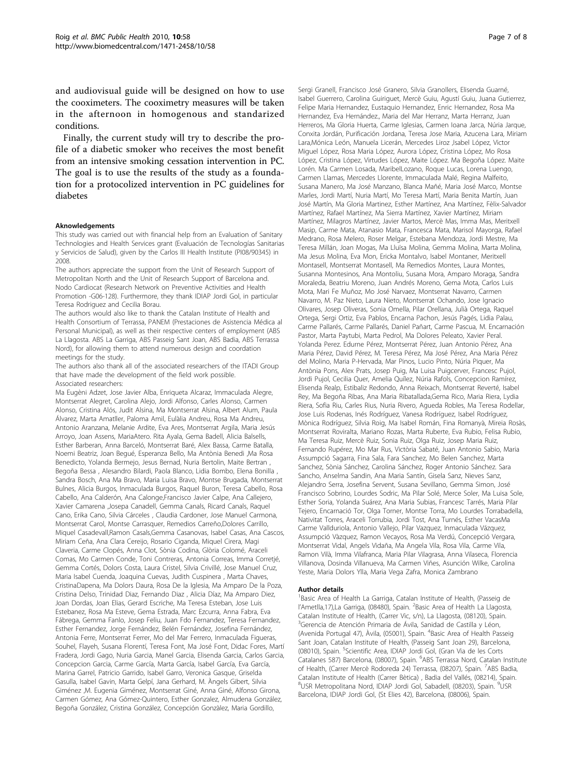and audiovisual guide will be designed on how to use the cooximeters. The cooximetry measures will be taken in the afternoon in homogenous and standarized conditions.

Finally, the current study will try to describe the profile of a diabetic smoker who receives the most benefit from an intensive smoking cessation intervention in PC. The goal is to use the results of the study as a foundation for a protocolized intervention in PC guidelines for diabetes

#### Aknowledgements

This study was carried out with financial help from an Evaluation of Sanitary Technologies and Health Services grant (Evaluación de Tecnologías Sanitarias y Servicios de Salud), given by the Carlos III Health Institute (PI08/90345) in 2008.

The authors appreciate the support from the Unit of Research Support of Metropolitan North and the Unit of Research Support of Barcelona and. Nodo Cardiocat (Research Network on Preventive Activities and Health Promotion -G06-128). Furthermore, they thank IDIAP Jordi Gol, in particular Teresa Rodriguez and Cecilia Borau.

The authors would also like to thank the Catalan Institute of Health and Health Consortium of Terrassa, PANEM (Prestaciones de Asistencia Médica al Personal Municipal), as well as their respective centers of employment (ABS La Llagosta. ABS La Garriga, ABS Passeig Sant Joan, ABS Badia, ABS Terrassa Nord), for allowing them to attend numerous design and coordation meetings for the study.

The authors also thank all of the associated researchers of the ITADI Group that have made the development of the field work possible. Associated researchers:

Ma Eugèni Adzet, Jose Javier Alba, Enriqueta Alcaraz, Immaculada Alegre, Montserrat Alegret, Carolina Alejo, Jordi Alfonso, Carles Alonso, Carmen Alonso, Cristina Alós, Judit Alsina, Ma Montserrat Alsina, Albert Alum, Paula Álvarez, Marta Amatller, Paloma Amil, Eulàlia Andreu, Rosa Ma Andreu, Antonio Aranzana, Melanie Ardite, Eva Ares, Montserrat Argila, Maria Jesús Arroyo, Joan Assens, MariaAtero. Rita Ayala, Gema Badell, Alicia Balsells, Esther Barberan, Anna Barceló, Montserrat Baré, Alex Bassa, Carme Batalla, Noemi Beatriz, Joan Begué, Esperanza Bello, Ma Antònia Benedi ,Ma Rosa Benedicto, Yolanda Bermejo, Jesus Bernad, Nuria Bertolin, Maite Bertran , Begoña Bessa , Alesandro Bilardi, Paola Blanco, Lidia Bombo, Elena Bonilla , Sandra Bosch, Ana Ma Bravo, Maria Luisa Bravo, Montse Brugada, Montserrat Bulnes, Alicia Burgos, Inmaculada Burgos, Raquel Buron, Teresa Cabello, Rosa Cabello, Ana Calderón, Ana Calonge,Francisco Javier Calpe, Ana Callejero, Xavier Camarena ,Josepa Canadell, Gemma Canals, Ricard Canals, Raquel Cano, Erika Cano, Silvia Cárceles , Claudia Cardoner, Jose Manuel Carmona, Montserrat Carol, Montse Carrasquer, Remedios Carreño,Dolores Carrillo, Miquel Casadevall,Ramon Casals,Gemma Casanovas, Isabel Casas, Ana Cascos, Miriam Ceña, Ana Clara Cereijo, Rosario Ciganda, Miquel Cirera, Magi Claveria, Carme Clopés, Anna Clot, Sònia Codina, Glòria Colomé, Araceli Comas, Mo Carmen Conde, Toni Contreras, Antonia Correas, Imma Corretjé, Gemma Cortés, Dolors Costa, Laura Cristel, Silvia Crivillé, Jose Manuel Cruz, Maria Isabel Cuenda, Joaquina Cuevas, Judith Cuspinera , Marta Chaves, CristinaDapena, Ma Dolors Daura, Rosa De la Iglesia, Ma Amparo De la Poza, Cristina Delso, Trinidad Diaz, Fernando Diaz , Alicia Díaz, Ma Amparo Diez, Joan Dordas, Joan Elias, Gerard Escriche, Ma Teresa Esteban, Jose Luis Estebanez, Rosa Ma Esteve, Gema Estrada, Marc Ezcurra, Anna Fabra, Eva Fábrega, Gemma Fanlo, Josep Feliu, Juan Fdo Fernandez, Teresa Fernandez, Esther Fernandez, Jorge Fernández, Belén Fernández, Josefina Fernández, Antonia Ferre, Montserrat Ferrer, Mo del Mar Ferrero, Inmaculada Figueras, Souhel, Flayeh, Susana Florentí, Teresa Font, Ma José Font, Didac Fores, Martí Fradera, Jordi Gago, Nuria Garcia, Manel Garcia, Elisenda Garcia, Carlos Garcia, Concepcion Garcia, Carme García, Marta García, Isabel García, Eva García, Marina Garrel, Patricio Garrido, Isabel Garro, Veronica Gasque, Griselda Gasulla, Isabel Gavin, Marta Gelpí, Jana Gerhard, M. Àngels Gibert, Silvia Giménez ,M. Eugenia Giménez, Montserrat Giné, Anna Giné, Alfonso Girona, Carmen Gómez, Ana Gómez-Quintero, Esther Gonzalez, Almudena González, Begoña González, Cristina González, Concepción Gonzàlez, Maria Gordillo,

Sergi Granell, Francisco José Granero, Silvia Granollers, Elisenda Guarné, Isabel Guerrero, Carolina Guiriguet, Mercè Guiu, Agustí Guiu, Juana Gutierrez, Felipe Maria Hernandez, Eustaquio Hernandez, Enric Hernandez, Rosa Ma Hernandez, Eva Hernández., Maria del Mar Herranz, Marta Herranz, Juan Herreros, Ma Gloria Huerta, Carme Iglesias, Carmen Ioana Jarca, Núria Jarque, Conxita Jordán, Purificación Jordana, Teresa Jose Maria, Azucena Lara, Miriam Lara,Mónica León, Manuela Licerán, Mercedes Liroz ,Isabel López, Victor Miguel López, Rosa Maria López, Aurora López, Cristina López, Mo Rosa López, Cristina López, Virtudes López, Maite López. Ma Begoña López. Maite Lorén. Ma Carmen Losada, MaribelLozano, Roque Lucas, Lorena Luengo, Carmen Llamas, Mercedes Llorente, Immaculada Malé, Regina Malfeito, Susana Manero, Ma José Manzano, Blanca Mañé, Maria José Marco, Montse Marles, Jordi Martí, Nuria Martí, Mo Teresa Martí, Maria Benita Martín, Juan José Martín, Ma Gloria Martinez, Esther Martínez, Ana Martínez, Fèlix-Salvador Martínez, Rafael Martínez, Ma Sierra Martínez, Xavier Martínez, Miriam Martínez, Milagros Martínez, Javier Martos, Mercè Mas, Imma Mas, Meritxell Masip, Carme Mata, Atanasio Mata, Francesca Mata, Marisol Mayorga, Rafael Medrano, Rosa Melero, Roser Melgar, Estebana Mendoza, Jordi Mestre, Ma Teresa Millán, Joan Mogas, Ma Lluïsa Molina, Gemma Molina, Marta Molina, Ma Jesus Molina, Eva Mon, Ericka Montalvo, Isabel Montaner, Meritxell Montasell, Montserrat Montasell, Ma Remedios Montes, Laura Montes, Susanna Montesinos, Ana Montoliu, Susana Mora, Amparo Moraga, Sandra Moraleda, Beatriu Moreno, Juan Andrés Moreno, Gema Mota, Carlos Luis Mota, Mari Fe Muñoz, Mo José Narvaez, Montserrat Navarro, Carmen Navarro, M. Paz Nieto, Laura Nieto, Montserrat Ochando, Jose Ignacio Olivares, Josep Oliveras, Sonia Omella, Pilar Orellana, Julià Ortega, Raquel Ortega, Sergi Ortiz, Eva Pablos, Encarna Pachon, Jesús Pagés, Lidia Palau, Carme Pallarés, Carme Pallarés, Daniel Pañart, Carme Pascua, M. Encarnación Pastor, Marta Paytubi, Marta Pedrol, Ma Dolores Peleato, Xavier Peral. Yolanda Perez. Edurne Pérez, Montserrat Pérez, Juan Antonio Pérez, Ana Maria Pérez, David Pérez, M. Teresa Pérez, Ma José Pérez, Ana Maria Pérez del Molino, Maria P-Hervada, Mar Pinos, Lucio Pinto, Núria Piquer, Ma Antònia Pons, Alex Prats, Josep Puig, Ma Luisa Puigcerver, Francesc Pujol, Jordi Pujol, Cecilia Quer, Amelia Quílez, Núria Rafols, Concepcion Ramírez, Elisenda Realp, Estibaliz Redondo, Anna Reixach, Montserrat Reverté, Isabel Rey, Ma Begoña Ribas, Ana Maria Ribatallada,Gema Rico, Maria Riera, Lydia Riera, Sofia Riu, Carles Rius, Nuria Rivero, Agueda Robles, Ma Teresa Rodellar, Jose Luis Rodenas, Inés Rodríguez, Vanesa Rodríguez, Isabel Rodríguez, Mònica Rodríguez, Silvia Roig, Ma Isabel Román, Fina Romanyà, Mireia Rosàs, Montserrat Roviralta, Mariano Rozas, Marta Ruberte, Eva Rubio, Felisa Rubio, Ma Teresa Ruiz, Mercè Ruiz, Sonia Ruiz, Olga Ruiz, Josep Maria Ruiz, Fernando Rupérez, Mo Mar Rus, Victòria Sabaté, Juan Antonio Sabio, Maria Assumpció Sagarra, Fina Sala, Fara Sanchez, Mo Belen Sanchez, Marta Sanchez, Sònia Sánchez, Carolina Sánchez, Roger Antonio Sánchez. Sara Sancho, Anselma Sandin, Ana Maria Santín, Gisela Sanz, Nieves Sanz, Alejandro Serra, Josefina Servent, Susana Sevillano, Gemma Simon, José Francisco Sobrino, Lourdes Sodric, Ma Pilar Solé, Merce Soler, Ma Luisa Sole, Esther Soria, Yolanda Suárez, Ana Maria Subias, Francesc Tarrés, Maria Pilar Tejero, Encarnació Tor, Olga Torner, Montse Torra, Mo Lourdes Torrabadella, Nativitat Torres, Araceli Torrubia, Jordi Tost, Ana Turnés, Esther VacasMa Carme Vallduriola, Antonio Vallejo, Pilar Vazquez, Inmaculada Vázquez, Assumpció Vàzquez, Ramon Vecayos, Rosa Ma Verdú, Concepció Vergara, Montserrat Vidal, Angels Vidaña, Ma Angela Vila, Rosa Vila, Carme Vila, Ramon Vilà, Imma Vilafranca, Maria Pilar Vilagrasa, Anna Vilaseca, Florencia Villanova, Dosinda Villanueva, Ma Carmen Viñes, Asunción Wilke, Carolina Yeste, Maria Dolors Ylla, Maria Vega Zafra, Monica Zambrano

#### Author details

<sup>1</sup>Basic Area of Health La Garriga, Catalan Institute of Health, (Passeig de l'Ametlla,17),La Garriga, (08480), Spain. <sup>2</sup>Basic Area of Health La Llagosta, Catalan Institute of Health, (Carrer Vic, s/n), La Llagosta, (08120), Spain. <sup>3</sup>Gerencia de Atención Primaria de Ávila, Sanidad de Castilla y Léon, (Avenida Portugal 47), Àvila, (05001), Spain. <sup>4</sup>Basic Area of Health Passeig Sant Joan, Catalan Institute of Health, (Passeig Sant Joan 29), Barcelona, (08010), Spain. <sup>5</sup>Scientific Area, IDIAP Jordi Gol, (Gran Via de les Corts Catalanes 587) Barcelona, (08007), Spain. <sup>6</sup>ABS Terrassa Nord, Catalan Institute of Health, (Carrer Mercè Rodoreda 24) Terrassa, (08207), Spain. <sup>7</sup>ABS Badia Catalan Institute of Health (Carrer Bètica) , Badia del Vallés, (08214), Spain. <sup>8</sup>USR Metropolitana Nord, IDIAP Jordi Gol, Sabadell, (08203), Spain. <sup>9</sup>USF Barcelona, IDIAP Jordi Gol, (St Elies 42), Barcelona, (08006), Spain.